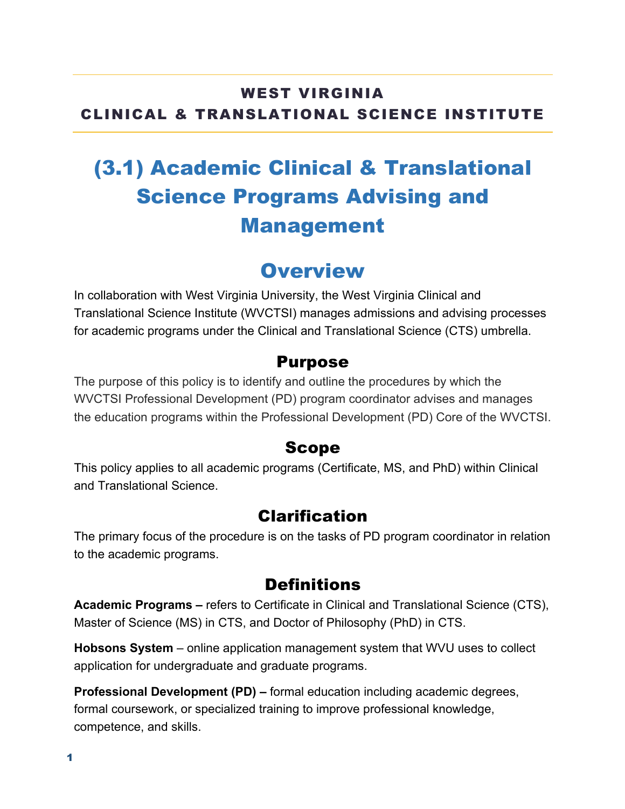## WEST VIRGINIA CLINICAL & TRANSLATIONAL SCIENCE INSTITUTE

# (3.1) Academic Clinical & Translational Science Programs Advising and Management

## **Overview**

In collaboration with West Virginia University, the West Virginia Clinical and Translational Science Institute (WVCTSI) manages admissions and advising processes for academic programs under the Clinical and Translational Science (CTS) umbrella.

#### Purpose

The purpose of this policy is to identify and outline the procedures by which the WVCTSI Professional Development (PD) program coordinator advises and manages the education programs within the Professional Development (PD) Core of the WVCTSI.

### Scope

This policy applies to all academic programs (Certificate, MS, and PhD) within Clinical and Translational Science.

### Clarification

The primary focus of the procedure is on the tasks of PD program coordinator in relation to the academic programs.

### **Definitions**

**Academic Programs –** refers to Certificate in Clinical and Translational Science (CTS), Master of Science (MS) in CTS, and Doctor of Philosophy (PhD) in CTS.

**Hobsons System** – online application management system that WVU uses to collect application for undergraduate and graduate programs.

**Professional Development (PD) –** formal education including academic degrees, formal coursework, or specialized training to improve professional knowledge, competence, and skills.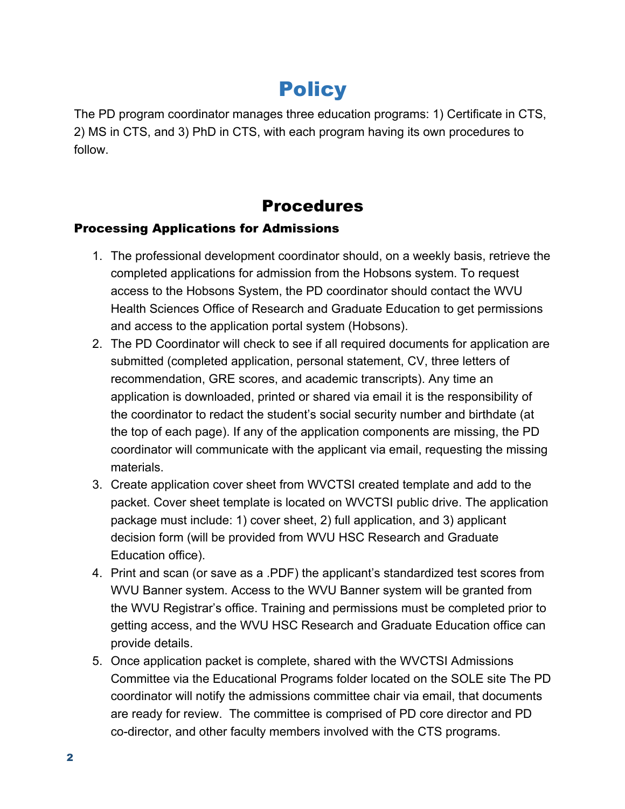# **Policy**

The PD program coordinator manages three education programs: 1) Certificate in CTS, 2) MS in CTS, and 3) PhD in CTS, with each program having its own procedures to follow.

## Procedures

#### Processing Applications for Admissions

- 1. The professional development coordinator should, on a weekly basis, retrieve the completed applications for admission from the Hobsons system. To request access to the Hobsons System, the PD coordinator should contact the WVU Health Sciences Office of Research and Graduate Education to get permissions and access to the application portal system (Hobsons).
- 2. The PD Coordinator will check to see if all required documents for application are submitted (completed application, personal statement, CV, three letters of recommendation, GRE scores, and academic transcripts). Any time an application is downloaded, printed or shared via email it is the responsibility of the coordinator to redact the student's social security number and birthdate (at the top of each page). If any of the application components are missing, the PD coordinator will communicate with the applicant via email, requesting the missing materials.
- 3. Create application cover sheet from WVCTSI created template and add to the packet. Cover sheet template is located on WVCTSI public drive. The application package must include: 1) cover sheet, 2) full application, and 3) applicant decision form (will be provided from WVU HSC Research and Graduate Education office).
- 4. Print and scan (or save as a .PDF) the applicant's standardized test scores from WVU Banner system. Access to the WVU Banner system will be granted from the WVU Registrar's office. Training and permissions must be completed prior to getting access, and the WVU HSC Research and Graduate Education office can provide details.
- 5. Once application packet is complete, shared with the WVCTSI Admissions Committee via the Educational Programs folder located on the SOLE site The PD coordinator will notify the admissions committee chair via email, that documents are ready for review. The committee is comprised of PD core director and PD co-director, and other faculty members involved with the CTS programs.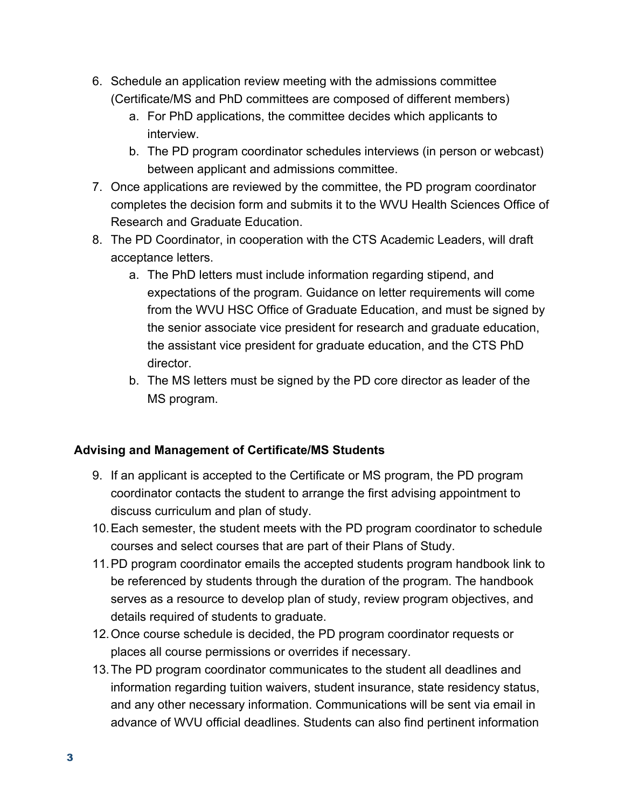- 6. Schedule an application review meeting with the admissions committee (Certificate/MS and PhD committees are composed of different members)
	- a. For PhD applications, the committee decides which applicants to interview.
	- b. The PD program coordinator schedules interviews (in person or webcast) between applicant and admissions committee.
- 7. Once applications are reviewed by the committee, the PD program coordinator completes the decision form and submits it to the WVU Health Sciences Office of Research and Graduate Education.
- 8. The PD Coordinator, in cooperation with the CTS Academic Leaders, will draft acceptance letters.
	- a. The PhD letters must include information regarding stipend, and expectations of the program. Guidance on letter requirements will come from the WVU HSC Office of Graduate Education, and must be signed by the senior associate vice president for research and graduate education, the assistant vice president for graduate education, and the CTS PhD director.
	- b. The MS letters must be signed by the PD core director as leader of the MS program.

#### **Advising and Management of Certificate/MS Students**

- 9. If an applicant is accepted to the Certificate or MS program, the PD program coordinator contacts the student to arrange the first advising appointment to discuss curriculum and plan of study.
- 10.Each semester, the student meets with the PD program coordinator to schedule courses and select courses that are part of their Plans of Study.
- 11.PD program coordinator emails the accepted students program handbook link to be referenced by students through the duration of the program. The handbook serves as a resource to develop plan of study, review program objectives, and details required of students to graduate.
- 12.Once course schedule is decided, the PD program coordinator requests or places all course permissions or overrides if necessary.
- 13.The PD program coordinator communicates to the student all deadlines and information regarding tuition waivers, student insurance, state residency status, and any other necessary information. Communications will be sent via email in advance of WVU official deadlines. Students can also find pertinent information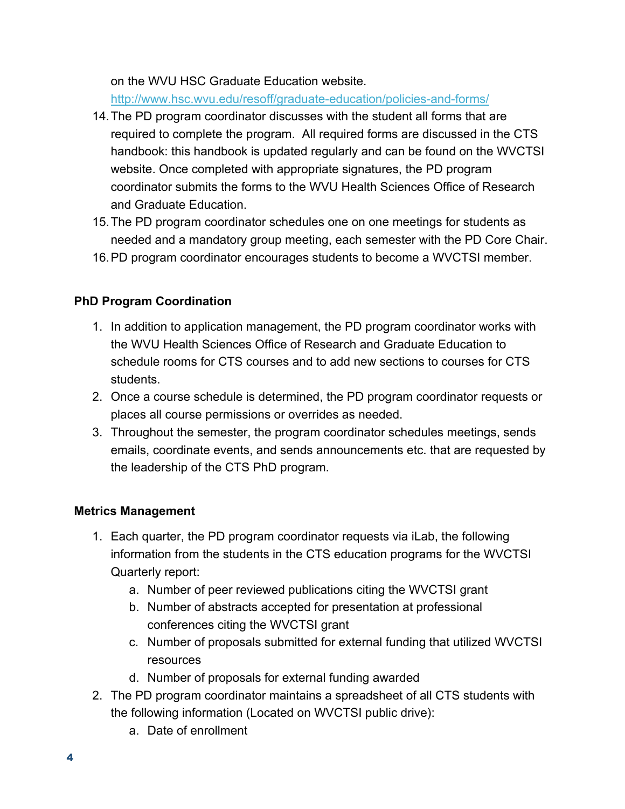on the WVU HSC Graduate Education website.

http://www.hsc.wvu.edu/resoff/graduate-education/policies-and-forms/

- 14.The PD program coordinator discusses with the student all forms that are required to complete the program. All required forms are discussed in the CTS handbook: this handbook is updated regularly and can be found on the WVCTSI website. Once completed with appropriate signatures, the PD program coordinator submits the forms to the WVU Health Sciences Office of Research and Graduate Education.
- 15.The PD program coordinator schedules one on one meetings for students as needed and a mandatory group meeting, each semester with the PD Core Chair.
- 16.PD program coordinator encourages students to become a WVCTSI member.

#### **PhD Program Coordination**

- 1. In addition to application management, the PD program coordinator works with the WVU Health Sciences Office of Research and Graduate Education to schedule rooms for CTS courses and to add new sections to courses for CTS students.
- 2. Once a course schedule is determined, the PD program coordinator requests or places all course permissions or overrides as needed.
- 3. Throughout the semester, the program coordinator schedules meetings, sends emails, coordinate events, and sends announcements etc. that are requested by the leadership of the CTS PhD program.

#### **Metrics Management**

- 1. Each quarter, the PD program coordinator requests via iLab, the following information from the students in the CTS education programs for the WVCTSI Quarterly report:
	- a. Number of peer reviewed publications citing the WVCTSI grant
	- b. Number of abstracts accepted for presentation at professional conferences citing the WVCTSI grant
	- c. Number of proposals submitted for external funding that utilized WVCTSI resources
	- d. Number of proposals for external funding awarded
- 2. The PD program coordinator maintains a spreadsheet of all CTS students with the following information (Located on WVCTSI public drive):
	- a. Date of enrollment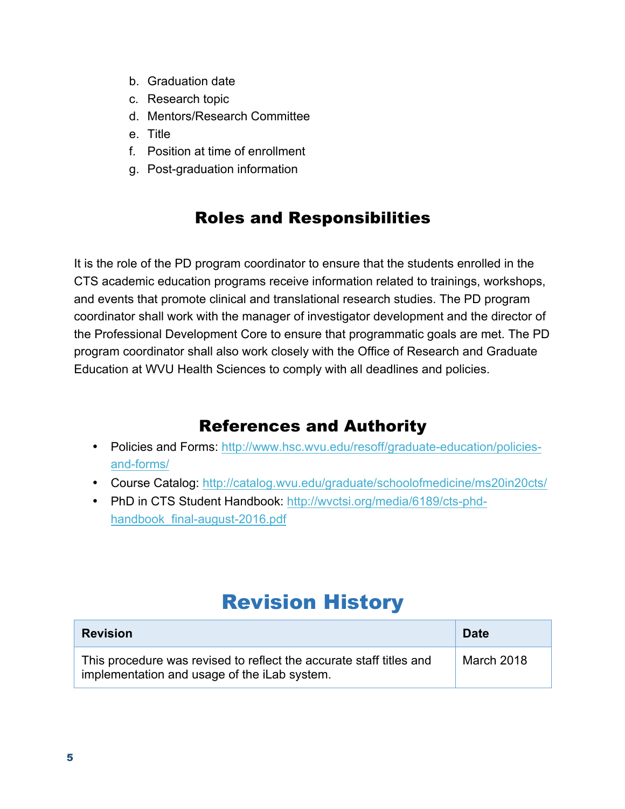- b. Graduation date
- c. Research topic
- d. Mentors/Research Committee
- e. Title
- f. Position at time of enrollment
- g. Post-graduation information

### Roles and Responsibilities

It is the role of the PD program coordinator to ensure that the students enrolled in the CTS academic education programs receive information related to trainings, workshops, and events that promote clinical and translational research studies. The PD program coordinator shall work with the manager of investigator development and the director of the Professional Development Core to ensure that programmatic goals are met. The PD program coordinator shall also work closely with the Office of Research and Graduate Education at WVU Health Sciences to comply with all deadlines and policies.

## References and Authority

- Policies and Forms: http://www.hsc.wvu.edu/resoff/graduate-education/policiesand-forms/
- Course Catalog: http://catalog.wvu.edu/graduate/schoolofmedicine/ms20in20cts/
- PhD in CTS Student Handbook: http://wvctsi.org/media/6189/cts-phdhandbook\_final-august-2016.pdf

## Revision History

| <b>Revision</b>                                                                                                     | <b>Date</b> |
|---------------------------------------------------------------------------------------------------------------------|-------------|
| This procedure was revised to reflect the accurate staff titles and<br>implementation and usage of the iLab system. | March 2018  |